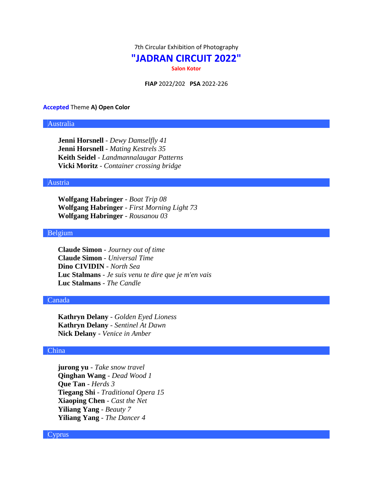7th Circular Exhibition of Photography

# **"JADRAN CIRCUIT 2022"**

**Salon Kotor**

**FIAP** 2022/202 **PSA** 2022-226

### **Accepted** Theme **A) Open Color**

# Australia

**Jenni Horsnell** - *Dewy Damselfly 41* **Jenni Horsnell** - *Mating Kestrels 35* **Keith Seidel** - *Landmannalaugar Patterns* **Vicki Moritz** - *Container crossing bridge*

## Austria

**Wolfgang Habringer** - *Boat Trip 08* **Wolfgang Habringer** - *First Morning Light 73* **Wolfgang Habringer** - *Rousanou 03*

### Belgium

**Claude Simon** - *Journey out of time* **Claude Simon** - *Universal Time* **Dino CIVIDIN** - *North Sea* **Luc Stalmans** - *Je suis venu te dire que je m'en vais* **Luc Stalmans** - *The Candle*

### Canada

**Kathryn Delany** - *Golden Eyed Lioness* **Kathryn Delany** - *Sentinel At Dawn* **Nick Delany** - *Venice in Amber*

### China

**jurong yu** - *Take snow travel* **Qinghan Wang** - *Dead Wood 1* **Que Tan** - *Herds 3* **Tiegang Shi** - *Traditional Opera 15* **Xiaoping Chen** - *Cast the Net* **Yiliang Yang** - *Beauty 7* **Yiliang Yang** - *The Dancer 4*

## Cyprus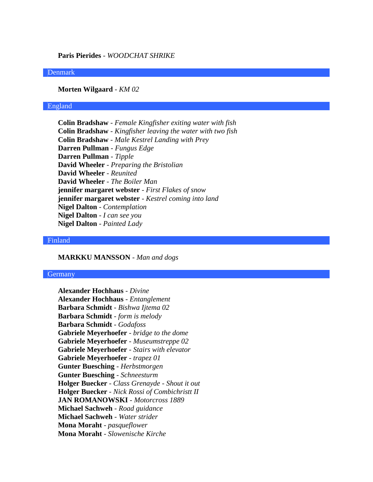# **Paris Pierides** - *WOODCHAT SHRIKE*

### Denmark

**Morten Wilgaard** - *KM 02*

## England

**Colin Bradshaw** - *Female Kingfisher exiting water with fish* **Colin Bradshaw** - *Kingfisher leaving the water with two fish* **Colin Bradshaw** - *Male Kestrel Landing with Prey* **Darren Pullman** - *Fungus Edge* **Darren Pullman** - *Tipple* **David Wheeler** - *Preparing the Bristolian* **David Wheeler** - *Reunited* **David Wheeler** - *The Boiler Man* **jennifer margaret webster** - *First Flakes of snow* **jennifer margaret webster** - *Kestrel coming into land* **Nigel Dalton** - *Contemplation* **Nigel Dalton** - *I can see you* **Nigel Dalton** - *Painted Lady*

### Finland

# **MARKKU MANSSON** - *Man and dogs*

### **Germany**

**Alexander Hochhaus** - *Divine* **Alexander Hochhaus** - *Entanglement* **Barbara Schmidt** - *Bishwa Ijtema 02* **Barbara Schmidt** - *form is melody* **Barbara Schmidt** - *Godafoss* **Gabriele Meyerhoefer** - *bridge to the dome* **Gabriele Meyerhoefer** - *Museumstreppe 02* **Gabriele Meyerhoefer** - *Stairs with elevator* **Gabriele Meyerhoefer** - *trapez 01* **Gunter Buesching** - *Herbstmorgen* **Gunter Buesching** - *Schneesturm* **Holger Buecker** - *Class Grenayde - Shout it out* **Holger Buecker** - *Nick Rossi of Combichristt II* **JAN ROMANOWSKI** - *Motorcross 1889* **Michael Sachweh** - *Road guidance* **Michael Sachweh** - *Water strider* **Mona Moraht** - *pasqueflower* **Mona Moraht** - *Slowenische Kirche*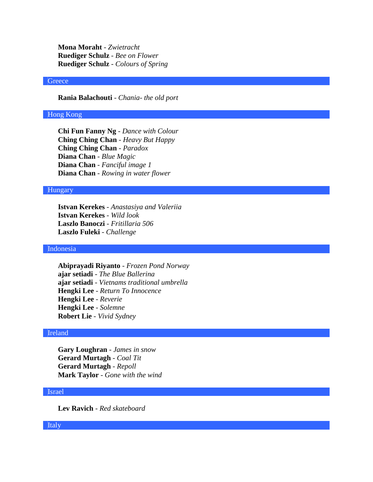**Mona Moraht** - *Zwietracht* **Ruediger Schulz** - *Bee on Flower* **Ruediger Schulz** - *Colours of Spring*

## **Greece**

**Rania Balachouti** - *Chania- the old port*

## Hong Kong

**Chi Fun Fanny Ng** - *Dance with Colour* **Ching Ching Chan** - *Heavy But Happy* **Ching Ching Chan** - *Paradox* **Diana Chan** - *Blue Magic* **Diana Chan** - *Fanciful image 1* **Diana Chan** - *Rowing in water flower*

# Hungary

**Istvan Kerekes** - *Anastasiya and Valeriia* **Istvan Kerekes** - *Wild look* **Laszlo Banoczi** - *Fritillaria 506* **Laszlo Fuleki** - *Challenge*

### Indonesia

**Abiprayadi Riyanto** - *Frozen Pond Norway* **ajar setiadi** - *The Blue Ballerina* **ajar setiadi** - *Vietnams traditional umbrella* **Hengki Lee** - *Return To Innocence* **Hengki Lee** - *Reverie* **Hengki Lee** - *Solemne* **Robert Lie** - *Vivid Sydney*

## Ireland

**Gary Loughran** - *James in snow* **Gerard Murtagh** - *Coal Tit* **Gerard Murtagh** - *Repoll* **Mark Taylor** - *Gone with the wind*

# Israel

**Lev Ravich** - *Red skateboard*

Italy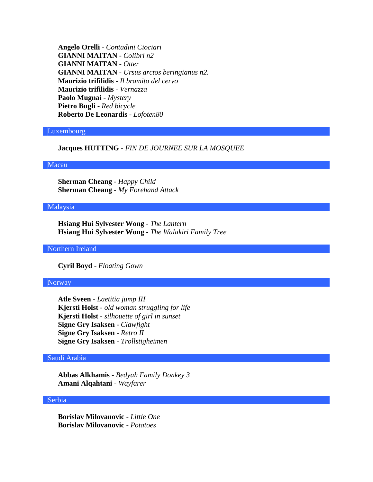**Angelo Orelli** - *Contadini Ciociari* **GIANNI MAITAN** - *Colibrì n2* **GIANNI MAITAN** - *Otter* **GIANNI MAITAN** - *Ursus arctos beringianus n2.* **Maurizio trifilidis** - *Il bramito del cervo* **Maurizio trifilidis** - *Vernazza* **Paolo Mugnai** - *Mystery* **Pietro Bugli** - *Red bicycle* **Roberto De Leonardis** - *Lofoten80*

### Luxembourg

## **Jacques HUTTING** - *FIN DE JOURNEE SUR LA MOSQUEE*

### Macau

**Sherman Cheang** - *Happy Child* **Sherman Cheang** - *My Forehand Attack*

### Malaysia

**Hsiang Hui Sylvester Wong** - *The Lantern* **Hsiang Hui Sylvester Wong** - *The Walakiri Family Tree*

Northern Ireland

**Cyril Boyd** - *Floating Gown*

### Norway

**Atle Sveen** - *Laetitia jump III* **Kjersti Holst** - *old woman struggling for life* **Kjersti Holst** - *silhouette of girl in sunset* **Signe Gry Isaksen** - *Clawfight* **Signe Gry Isaksen** - *Retro II* **Signe Gry Isaksen** - *Trollstigheimen*

## Saudi Arabia

**Abbas Alkhamis** - *Bedyah Family Donkey 3* **Amani Alqahtani** - *Wayfarer*

### Serbia

**Borislav Milovanovic** - *Little One* **Borislav Milovanovic** - *Potatoes*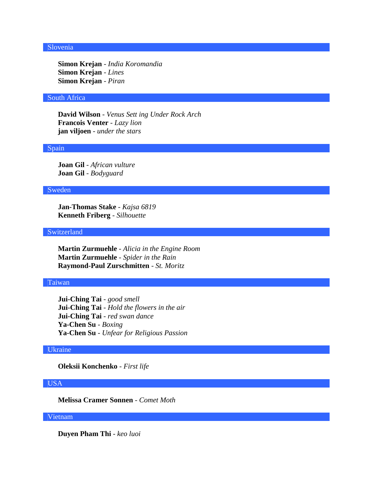# Slovenia

**Simon Krejan** - *India Koromandia* **Simon Krejan** - *Lines* **Simon Krejan** - *Piran*

### South Africa

**David Wilson** - *Venus Sett ing Under Rock Arch* **Francois Venter** - *Lazy lion* **jan viljoen** - *under the stars*

### Spain

**Joan Gil** - *African vulture* **Joan Gil** - *Bodyguard*

## Sweden

**Jan-Thomas Stake** - *Kajsa 6819* **Kenneth Friberg** - *Silhouette*

## Switzerland

**Martin Zurmuehle** - *Alicia in the Engine Room* **Martin Zurmuehle** - *Spider in the Rain* **Raymond-Paul Zurschmitten** - *St. Moritz*

## Taiwan

**Jui-Ching Tai** - *good smell* **Jui-Ching Tai** - *Hold the flowers in the air* **Jui-Ching Tai** - *red swan dance* **Ya-Chen Su** - *Boxing* **Ya-Chen Su** - *Unfear for Religious Passion*

# Ukraine

**Oleksii Konchenko** - *First life*

# USA

**Melissa Cramer Sonnen** - *Comet Moth*

# Vietnam

**Duyen Pham Thi** - *keo luoi*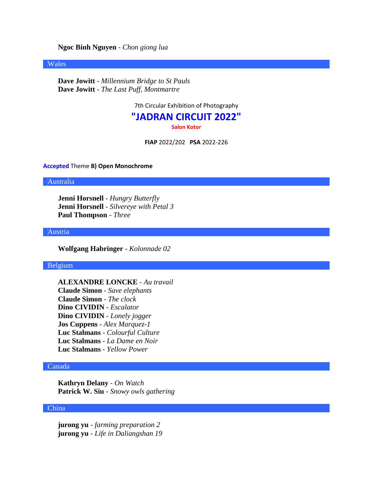**Ngoc Binh Nguyen** - *Chon giong lua*

### Wales

**Dave Jowitt** - *Millennium Bridge to St Pauls* **Dave Jowitt** - *The Last Puff, Montmartre*

7th Circular Exhibition of Photography

# **"JADRAN CIRCUIT 2022"**

**Salon Kotor**

**FIAP** 2022/202 **PSA** 2022-226

### **Accepted** Theme **B) Open Monochrome**

Australia

**Jenni Horsnell** - *Hungry Butterfly* **Jenni Horsnell** - *Silvereye with Petal 3* **Paul Thompson** - *Three*

### Austria

**Wolfgang Habringer** - *Kolonnade 02*

### Belgium

**ALEXANDRE LONCKE** - *Au travail* **Claude Simon** - *Save elephants* **Claude Simon** - *The clock* **Dino CIVIDIN** - *Escalator* **Dino CIVIDIN** - *Lonely jogger* **Jos Cuppens** - *Alex Marquez-1* **Luc Stalmans** - *Colourful Culture* **Luc Stalmans** - *La Dame en Noir* **Luc Stalmans** - *Yellow Power*

## Canada

**Kathryn Delany** - *On Watch* **Patrick W. Siu** - *Snowy owls gathering*

# China

**jurong yu** - *farming preparation 2* **jurong yu** - *Life in Daliangshan 19*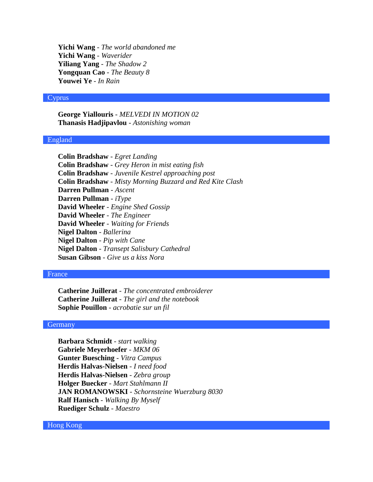**Yichi Wang** - *The world abandoned me* **Yichi Wang** - *Waverider* **Yiliang Yang** - *The Shadow 2* **Yongquan Cao** - *The Beauty 8* **Youwei Ye** - *In Rain*

### Cyprus

**George Yiallouris** - *MELVEDI IN MOTION 02* **Thanasis Hadjipavlou** - *Astonishing woman*

### England

**Colin Bradshaw** - *Egret Landing* **Colin Bradshaw** - *Grey Heron in mist eating fish* **Colin Bradshaw** - *Juvenile Kestrel approaching post* **Colin Bradshaw** - *Misty Morning Buzzard and Red Kite Clash* **Darren Pullman** - *Ascent* **Darren Pullman** - *iType* **David Wheeler** - *Engine Shed Gossip* **David Wheeler** - *The Engineer* **David Wheeler** - *Waiting for Friends* **Nigel Dalton** - *Ballerina* **Nigel Dalton** - *Pip with Cane* **Nigel Dalton** - *Transept Salisbury Cathedral* **Susan Gibson** - *Give us a kiss Nora*

### France

**Catherine Juillerat** - *The concentrated embroiderer* **Catherine Juillerat** - *The girl and the notebook* **Sophie Pouillon** - *acrobatie sur un fil*

## **Germany**

**Barbara Schmidt** - *start walking* **Gabriele Meyerhoefer** - *MKM 06* **Gunter Buesching** - *Vitra Campus* **Herdis Halvas-Nielsen** - *I need food* **Herdis Halvas-Nielsen** - *Zebra group* **Holger Buecker** - *Mart Stahlmann II* **JAN ROMANOWSKI** - *Schornsteine Wuerzburg 8030* **Ralf Hanisch** - *Walking By Myself* **Ruediger Schulz** - *Maestro*

## Hong Kong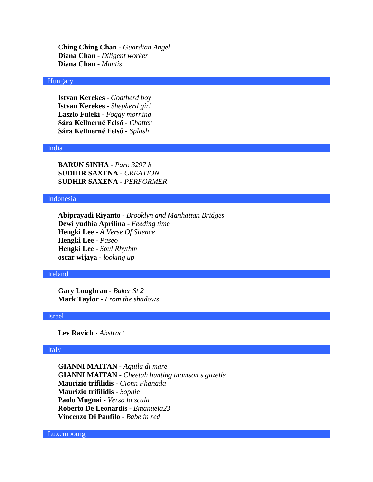**Ching Ching Chan** - *Guardian Angel* **Diana Chan** - *Diligent worker* **Diana Chan** - *Mantis*

# Hungary

**Istvan Kerekes** - *Goatherd boy* **Istvan Kerekes** - *Shepherd girl* **Laszlo Fuleki** - *Foggy morning* **Sára Kellnerné Felső** - *Chatter* **Sára Kellnerné Felső** - *Splash*

### India

**BARUN SINHA** - *Paro 3297 b* **SUDHIR SAXENA** - *CREATION* **SUDHIR SAXENA** - *PERFORMER*

# Indonesia

**Abiprayadi Riyanto** - *Brooklyn and Manhattan Bridges* **Dewi yudhia Aprilina** - *Feeding time* **Hengki Lee** - *A Verse Of Silence* **Hengki Lee** - *Paseo* **Hengki Lee** - *Soul Rhythm* **oscar wijaya** - *looking up*

### Ireland

**Gary Loughran** - *Baker St 2* **Mark Taylor** - *From the shadows*

### Israel

**Lev Ravich** - *Abstract*

# Italy

**GIANNI MAITAN** - *Aquila di mare* **GIANNI MAITAN** - *Cheetah hunting thomson s gazelle* **Maurizio trifilidis** - *Cionn Fhanada* **Maurizio trifilidis** - *Sophie* **Paolo Mugnai** - *Verso la scala* **Roberto De Leonardis** - *Emanuela23* **Vincenzo Di Panfilo** - *Babe in red*

Luxembourg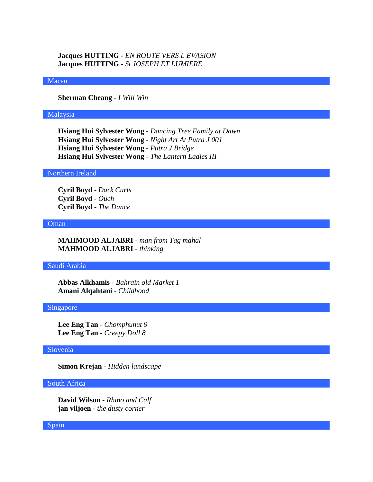**Jacques HUTTING** - *EN ROUTE VERS L EVASION* **Jacques HUTTING** - *St JOSEPH ET LUMIERE*

### Macau

**Sherman Cheang** - *I Will Win*

### Malaysia

**Hsiang Hui Sylvester Wong** - *Dancing Tree Family at Dawn* **Hsiang Hui Sylvester Wong** - *Night Art At Putra J 001* **Hsiang Hui Sylvester Wong** - *Putra J Bridge* **Hsiang Hui Sylvester Wong** - *The Lantern Ladies III*

# Northern Ireland

**Cyril Boyd** - *Dark Curls* **Cyril Boyd** - *Ouch* **Cyril Boyd** - *The Dance*

### Oman

**MAHMOOD ALJABRI** - *man from Tag mahal* **MAHMOOD ALJABRI** - *thinking*

### Saudi Arabia

**Abbas Alkhamis** - *Bahrain old Market 1* **Amani Alqahtani** - *Childhood*

## Singapore

**Lee Eng Tan** - *Chomphunut 9* **Lee Eng Tan** - *Creepy Doll 8*

## Slovenia

**Simon Krejan** - *Hidden landscape*

### South Africa

**David Wilson** - *Rhino and Calf* **jan viljoen** - *the dusty corner*

Spain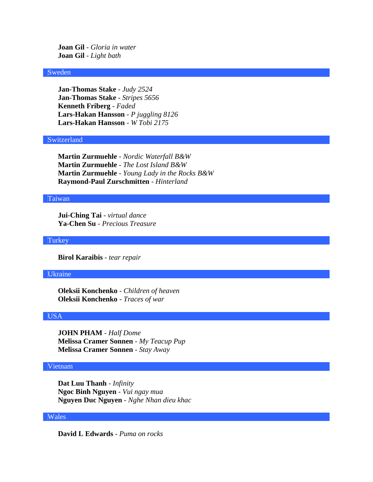**Joan Gil** - *Gloria in water* **Joan Gil** - *Light bath*

## Sweden

**Jan-Thomas Stake** - *Judy 2524* **Jan-Thomas Stake** - *Stripes 5656* **Kenneth Friberg** - *Faded* **Lars-Hakan Hansson** - *P juggling 8126* **Lars-Hakan Hansson** - *W Tobi 2175*

### Switzerland

**Martin Zurmuehle** - *Nordic Waterfall B&W* **Martin Zurmuehle** - *The Lost Island B&W* **Martin Zurmuehle** - *Young Lady in the Rocks B&W* **Raymond-Paul Zurschmitten** - *Hinterland*

# Taiwan

**Jui-Ching Tai** - *virtual dance* **Ya-Chen Su** - *Precious Treasure*

**Turkey** 

**Birol Karaibis** - *tear repair*

### Ukraine

**Oleksii Konchenko** - *Children of heaven* **Oleksii Konchenko** - *Traces of war*

### USA

**JOHN PHAM** - *Half Dome* **Melissa Cramer Sonnen** - *My Teacup Pup* **Melissa Cramer Sonnen** - *Stay Away*

## Vietnam

**Dat Luu Thanh** - *Infinity* **Ngoc Binh Nguyen** - *Vui ngay mua* **Nguyen Duc Nguyen** - *Nghe Nhan dieu khac*

## Wales

**David L Edwards** - *Puma on rocks*